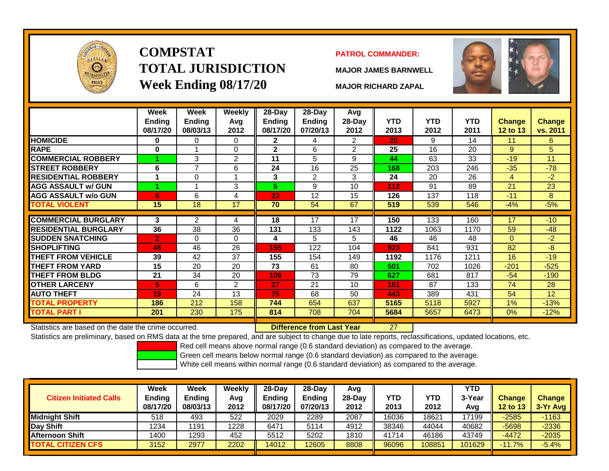

# **COMPSTATTOTAL JURISDICTIONWeek Ending 08/17/20 MAJOR RICHARD ZAPAL**

### **PATROL COMMANDER:**

**MAJOR JAMES BARNWELL**



|                                                      | Week<br><b>Ending</b><br>08/17/20 | Week<br><b>Ending</b><br>08/03/13 | <b>Weekly</b><br>Avg<br>2012 | 28-Day<br>Ending<br>08/17/20 | $28$ -Day<br><b>Ending</b><br>07/20/13 | Avg<br>28-Day<br>2012 | <b>YTD</b><br>2013 | <b>YTD</b><br>2012 | <b>YTD</b><br>2011 | <b>Change</b><br>12 to 13 | <b>Change</b><br>vs. 2011 |
|------------------------------------------------------|-----------------------------------|-----------------------------------|------------------------------|------------------------------|----------------------------------------|-----------------------|--------------------|--------------------|--------------------|---------------------------|---------------------------|
| <b>HOMICIDE</b>                                      | 0                                 | 0                                 | 0                            | $\mathbf{2}$                 | 4                                      | $\overline{2}$        | 20                 | 9                  | 14                 | 11                        | 6                         |
| <b>RAPE</b>                                          | $\bf{0}$                          |                                   | $\Omega$                     | $\mathbf{2}$                 | 6                                      | $\overline{2}$        | 25                 | 16                 | 20                 | 9                         | 5                         |
| <b>COMMERCIAL ROBBERY</b>                            |                                   | 3                                 | 2                            | 11                           | 5                                      | 9                     | 44                 | 63                 | 33                 | $-19$                     | 11                        |
| <b>STREET ROBBERY</b>                                | 6                                 | 7                                 | 6                            | 24                           | 16                                     | 25                    | 168                | 203                | 246                | $-35$                     | $-78$                     |
| <b>RESIDENTIAL ROBBERY</b>                           | 1                                 | 0                                 |                              | 3                            | 2                                      | 3                     | 24                 | 20                 | 26                 | 4                         | $-2$                      |
| <b>AGG ASSAULT w/ GUN</b>                            |                                   |                                   | 3                            | 5.                           | 9                                      | 10                    | 112                | 91                 | 89                 | 21                        | 23                        |
| <b>AGG ASSAULT w/o GUN</b>                           | 6                                 | 6                                 | 4                            | 23                           | 12                                     | 15                    | 126                | 137                | 118                | $-11$                     | 8                         |
| <b>TOTAL VIOLENT</b>                                 | 15                                | 18                                | $\overline{17}$              | 70                           | 54                                     | 67                    | 519                | 539                | 546                | $-4%$                     | $-5%$                     |
|                                                      |                                   |                                   |                              |                              |                                        |                       |                    |                    |                    |                           |                           |
| <b>COMMERCIAL BURGLARY</b>                           | 3                                 | $\overline{2}$                    | 4                            | 18                           | 17                                     | 17                    | 150                | 133                | 160                | 17                        | $-10$                     |
| <b>RESIDENTIAL BURGLARY</b>                          | 36                                | 38                                | 36                           | 131                          | 133                                    | 143                   | 1122               | 1063               | 1170               | 59                        | $-48$                     |
| <b>SUDDEN SNATCHING</b>                              | $\overline{2}$                    | 0                                 | $\Omega$                     | 4                            | 5                                      | 5                     | 46                 | 46                 | 48                 | $\Omega$                  | $-2$                      |
| <b>SHOPLIFTING</b>                                   | 46                                | 46                                | 26                           | 155                          | 122                                    | 104                   | 923                | 841                | 931                | 82                        | $-8$                      |
| <b>THEFT FROM VEHICLE</b>                            | 39                                | 42                                | 37                           | 155                          | 154                                    | 149                   | 1192               | 1176               | 1211               | 16                        | $-19$                     |
| <b>THEFT FROM YARD</b>                               | 15                                | 20                                | 20                           | 73                           | 61                                     | 80                    | 501                | 702                | 1026               | $-201$                    | $-525$                    |
| <b>THEFT FROM BLDG</b>                               | 21                                | 34                                | 20                           | 106                          | 73                                     | 79                    | 627                | 681                | 817                | $-54$                     | $-190$                    |
| <b>OTHER LARCENY</b>                                 | 5                                 | 6                                 | $\overline{2}$               | 27                           | 21                                     | 10                    | 161                | 87                 | 133                | 74                        | 28                        |
| <b>AUTO THEFT</b>                                    | 19                                | 24                                | 13                           | 75                           | 68                                     | 50                    | 443                | 389                | 431                | 54                        | 12                        |
| <b>TOTAL PROPERTY</b>                                | 186                               | 212                               | 158                          | 744                          | 654                                    | 637                   | 5165               | 5118               | 5927               | 1%                        | $-13%$                    |
| <b>TOTAL PART I</b>                                  | 201                               | 230                               | 175                          | 814                          | 708                                    | 704                   | 5684               | 5657               | 6473               | 0%                        | $-12%$                    |
| Statistics are based on the date the crime occurred. |                                   |                                   |                              |                              | Difference from Last Year              |                       | 27                 |                    |                    |                           |                           |

Statistics are based on the date the crime occurred. **Difference from Last Year** 

Statistics are preliminary, based on RMS data at the time prepared, and are subject to change due to late reports, reclassifications, updated locations, etc.

Red cell means above normal range (0.6 standard deviation) as compared to the average.

Green cell means below normal range (0.6 standard deviation) as compared to the average.

| <b>Citizen Initiated Calls</b> | Week<br><b>Ending</b><br>08/17/20 | Week<br><b>Ending</b><br>08/03/13 | Weekly<br>Avg<br>2012 | $28$ -Dav<br>Ending<br>08/17/20 | $28-Dav$<br><b>Ending</b><br>07/20/13 | Avg<br>28-Dav<br>2012 | YTD<br>2013 | <b>YTD</b><br>2012 | <b>YTD</b><br>3-Year<br>Avg | <b>Change</b><br><b>12 to 13</b> | <b>Change</b><br>3-Yr Avg |
|--------------------------------|-----------------------------------|-----------------------------------|-----------------------|---------------------------------|---------------------------------------|-----------------------|-------------|--------------------|-----------------------------|----------------------------------|---------------------------|
| <b>Midnight Shift</b>          | 518                               | 493                               | 522                   | 2029                            | 2289                                  | 2087                  | 16036       | 18621              | 17199                       | $-2585$                          | $-1163$                   |
| Day Shift                      | 1234                              | 1191                              | 1228                  | 6471                            | 5114                                  | 4912                  | 38346       | 44044              | 40682                       | $-5698$                          | $-2336$                   |
| Afternoon Shift                | 1400                              | 1293                              | 452                   | 5512                            | 5202                                  | 1810                  | 41714       | 46186              | 43749                       | $-4472$                          | $-2035$                   |
| <b>TOTAL CITIZEN CFS</b>       | 3152                              | 2977                              | 2202                  | 14012                           | 12605                                 | 8808                  | 96096       | 108851             | 101629                      | $-11.7%$                         | $-5.4%$                   |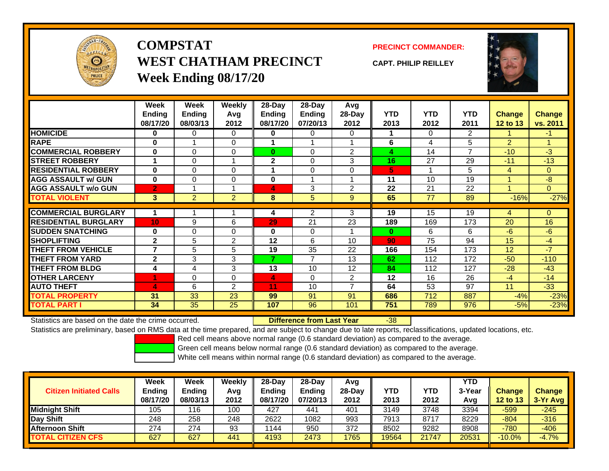

## **COMPSTATWEST CHATHAM PRECINCTWeek Ending 08/17/20**

### **PRECINCT COMMANDER:**

**CAPT. PHILIP REILLEY**



|                             | <b>Week</b><br><b>Ending</b><br>08/17/20 | Week<br><b>Ending</b><br>08/03/13 | Weekly<br>Avg<br>2012 | 28-Day<br><b>Ending</b><br>08/17/20 | 28-Day<br>Ending<br>07/20/13 | Avg<br>28-Day<br>2012 | <b>YTD</b><br>2013 | <b>YTD</b><br>2012 | <b>YTD</b><br>2011 | <b>Change</b><br>12 to 13 | <b>Change</b><br>vs. 2011 |
|-----------------------------|------------------------------------------|-----------------------------------|-----------------------|-------------------------------------|------------------------------|-----------------------|--------------------|--------------------|--------------------|---------------------------|---------------------------|
| <b>HOMICIDE</b>             | 0                                        | 0                                 | 0                     | 0                                   | 0                            | $\Omega$              |                    | $\Omega$           | $\overline{2}$     |                           | $-1$                      |
| <b>RAPE</b>                 | $\bf{0}$                                 |                                   | $\Omega$              |                                     |                              |                       | 6                  | 4                  | 5                  | $\overline{2}$            |                           |
| <b>COMMERCIAL ROBBERY</b>   | $\bf{0}$                                 | 0                                 | $\Omega$              | $\bf{0}$                            | $\Omega$                     | $\overline{2}$        | 4                  | 14                 | $\overline{ }$     | $-10$                     | $-3$                      |
| <b>STREET ROBBERY</b>       |                                          | $\Omega$                          |                       | $\overline{2}$                      | $\Omega$                     | 3                     | 16                 | 27                 | 29                 | $-11$                     | $-13$                     |
| <b>RESIDENTIAL ROBBERY</b>  | $\bf{0}$                                 | 0                                 | $\Omega$              |                                     | $\Omega$                     | $\Omega$              | 5                  |                    | 5                  | 4                         | $\overline{0}$            |
| <b>AGG ASSAULT w/ GUN</b>   | $\mathbf{0}$                             | $\Omega$                          | $\mathbf 0$           | $\mathbf 0$                         |                              |                       | 11                 | 10                 | 19                 |                           | $-8$                      |
| <b>AGG ASSAULT w/o GUN</b>  | $\overline{2}$                           |                                   | 1                     | 4                                   | 3                            | 2                     | 22                 | 21                 | 22                 | $\overline{ }$            | $\overline{0}$            |
| <b>TOTAL VIOLENT</b>        | 3                                        | $\overline{2}$                    | $\overline{2}$        | 8                                   | 5                            | 9                     | 65                 | 77                 | 89                 | $-16%$                    | $-27%$                    |
|                             |                                          |                                   |                       |                                     |                              |                       |                    |                    |                    |                           |                           |
| <b>COMMERCIAL BURGLARY</b>  |                                          |                                   |                       | 4                                   | 2                            | 3                     | 19                 | 15                 | 19                 | 4                         | 0                         |
| <b>RESIDENTIAL BURGLARY</b> | 10                                       | 9                                 | 6                     | 29                                  | 21                           | 23                    | 189                | 169                | 173                | 20                        | 16                        |
| <b>SUDDEN SNATCHING</b>     | $\bf{0}$                                 | $\Omega$                          | $\Omega$              | $\bf{0}$                            | $\Omega$                     |                       | $\bf{0}$           | 6                  | 6                  | $-6$                      | $-6$                      |
| <b>SHOPLIFTING</b>          | $\mathbf{2}$                             | 5                                 | 2                     | 12                                  | 6                            | 10                    | 90                 | 75                 | 94                 | 15                        | $-4$                      |
| <b>THEFT FROM VEHICLE</b>   | $\overline{\phantom{a}}$                 | 5                                 | 5                     | 19                                  | 35                           | 22                    | 166                | 154                | 173                | 12 <sup>2</sup>           | $-7$                      |
| <b>THEFT FROM YARD</b>      | $\mathbf{2}$                             | 3                                 | 3                     | 7                                   | $\overline{7}$               | 13                    | 62                 | 112                | 172                | $-50$                     | $-110$                    |
| <b>THEFT FROM BLDG</b>      | 4                                        | 4                                 | 3                     | 13                                  | 10                           | 12                    | 84                 | 112                | 127                | $-28$                     | $-43$                     |
| <b>OTHER LARCENY</b>        | 1                                        | 0                                 | $\Omega$              | 4                                   | $\Omega$                     | $\overline{2}$        | $12 \,$            | 16                 | 26                 | $-4$                      | $-14$                     |
| <b>AUTO THEFT</b>           | 4                                        | 6                                 | $\overline{2}$        | 11                                  | 10                           | $\overline{ }$        | 64                 | 53                 | 97                 | 11                        | $-33$                     |
| <b>TOTAL PROPERTY</b>       | 31                                       | 33                                | 23                    | 99                                  | 91                           | 91                    | 686                | 712                | 887                | $-4%$                     | $-23%$                    |
| <b>TOTAL PART I</b>         | 34                                       | 35                                | 25                    | 107                                 | 96                           | 101                   | 751                | 789                | 976                | $-5%$                     | $-23%$                    |

Statistics are based on the date the crime occurred. **Difference from Last Year** 

r -38

Statistics are preliminary, based on RMS data at the time prepared, and are subject to change due to late reports, reclassifications, updated locations, etc.

Red cell means above normal range (0.6 standard deviation) as compared to the average.

Green cell means below normal range (0.6 standard deviation) as compared to the average.

| <b>Citizen Initiated Calls</b> | Week<br><b>Ending</b> | Week<br><b>Ending</b> | Weekly<br>Avg | $28-Day$<br><b>Ending</b> | 28-Day<br>Endina | Avg<br>28-Dav | YTD   | YTD   | <b>YTD</b><br>3-Year | <b>Change</b> | <b>Change</b> |
|--------------------------------|-----------------------|-----------------------|---------------|---------------------------|------------------|---------------|-------|-------|----------------------|---------------|---------------|
|                                | 08/17/20              | 08/03/13              | 2012          | 08/17/20                  | 07/20/13         | 2012          | 2013  | 2012  | Avg                  | 12 to 13      | $3-Yr$ Avg    |
| <b>Midnight Shift</b>          | 105                   | 116                   | 100           | 427                       | 441              | 401           | 3149  | 3748  | 3394                 | $-599$        | $-245$        |
| Day Shift                      | 248                   | 258                   | 248           | 2622                      | 1082             | 993           | 7913  | 8717  | 8229                 | $-804$        | $-316$        |
| <b>Afternoon Shift</b>         | 274                   | 274                   | 93            | 1144                      | 950              | 372           | 8502  | 9282  | 8908                 | $-780$        | $-406$        |
| <b>TOTAL CITIZEN CFS</b>       | 627                   | 627                   | 441           | 4193                      | 2473             | 1765          | 19564 | 21747 | 20531                | $-10.0%$      | $-4.7%$       |
|                                |                       |                       |               |                           |                  |               |       |       |                      |               |               |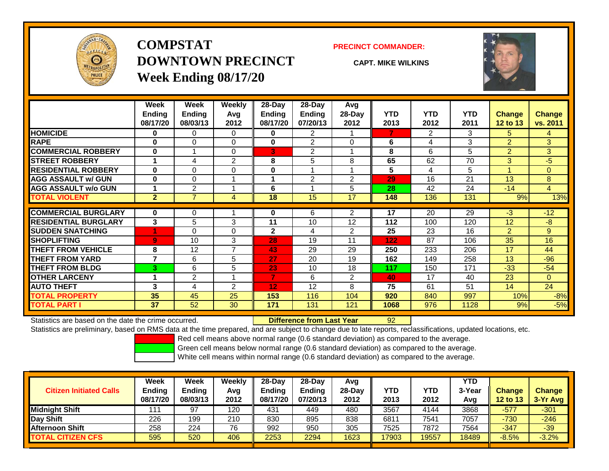

**COMPSTATDOWNTOWN PRECINCTWeek Ending 08/17/20**

#### **PRECINCT COMMANDER:**

**CAPT. MIKE WILKINS**



|                             | Week           | Week           | Weekly         | $28-Day$         | $28-Day$       | Avg            |            |                |            |               |                |
|-----------------------------|----------------|----------------|----------------|------------------|----------------|----------------|------------|----------------|------------|---------------|----------------|
|                             | <b>Ending</b>  | <b>Ending</b>  | Avg            | <b>Ending</b>    | <b>Ending</b>  | 28-Day         | <b>YTD</b> | <b>YTD</b>     | <b>YTD</b> | <b>Change</b> | <b>Change</b>  |
|                             | 08/17/20       | 08/03/13       | 2012           | 08/17/20         | 07/20/13       | 2012           | 2013       | 2012           | 2011       | 12 to 13      | vs. 2011       |
| <b>HOMICIDE</b>             | 0              | 0              | $\Omega$       | 0                | $\overline{2}$ |                | 7          | $\overline{2}$ | 3          | 5.            | $\overline{4}$ |
| <b>RAPE</b>                 | $\bf{0}$       | 0              | 0              | $\bf{0}$         | $\overline{2}$ | $\Omega$       | 6          | 4              | 3          | 2             | 3 <sup>1</sup> |
| <b>COMMERCIAL ROBBERY</b>   | 0              |                | $\Omega$       | 31               | $\overline{2}$ |                | 8          | 6              | 5          | 2             | 3              |
| <b>STREET ROBBERY</b>       | 1              | 4              | $\overline{2}$ | 8                | 5              | 8              | 65         | 62             | 70         | 3             | $-5$           |
| <b>RESIDENTIAL ROBBERY</b>  | $\bf{0}$       | 0              | $\Omega$       | 0                |                |                | 5          | 4              | 5          | 4             | $\Omega$       |
| <b>AGG ASSAULT w/ GUN</b>   | $\bf{0}$       | 0              |                |                  | $\overline{2}$ | 2              | 29         | 16             | 21         | 13            | 8              |
| <b>AGG ASSAULT w/o GUN</b>  | 1              | 2              |                | 6                |                | 5              | 28         | 42             | 24         | $-14$         | $\overline{4}$ |
| <b>TOTAL VIOLENT</b>        | $\mathbf{2}$   | 7              | 4              | 18               | 15             | 17             | 148        | 136            | 131        | 9%            | 13%            |
| <b>COMMERCIAL BURGLARY</b>  | $\bf{0}$       | 0              |                | 0                | 6              | 2              | 17         | 20             | 29         | $-3$          | $-12$          |
| <b>RESIDENTIAL BURGLARY</b> | 3              | 5              | 3              | 11               | 10             | 12             | 112        | 100            | 120        | 12            | $-8$           |
| <b>SUDDEN SNATCHING</b>     |                | 0              | $\Omega$       | $\mathbf{2}$     | 4              | 2              | 25         | 23             | 16         | 2             | 9              |
| <b>SHOPLIFTING</b>          | $\overline{9}$ | 10             | 3              | 28               | 19             | 11             | 122        | 87             | 106        | 35            | 16             |
| <b>THEFT FROM VEHICLE</b>   | 8              | 12             | $\overline{7}$ | 43               | 29             | 29             | 250        | 233            | 206        | 17            | 44             |
| <b>THEFT FROM YARD</b>      | 7              | 6              | 5              | 27               | 20             | 19             | 162        | 149            | 258        | 13            | $-96$          |
| <b>THEFT FROM BLDG</b>      | 3              | 6              | 5              | 23               | 10             | 18             | 117        | 150            | 171        | $-33$         | $-54$          |
| <b>OTHER LARCENY</b>        | 1              | $\overline{2}$ |                | 7                | 6              | $\overline{2}$ | 40         | 17             | 40         | 23            | $\Omega$       |
| <b>AUTO THEFT</b>           | 3              | 4              | 2              | 12 <sub>2</sub>  | 12             | 8              | 75         | 61             | 51         | 14            | 24             |
| <b>TOTAL PROPERTY</b>       | 35             | 45             | 25             | 153              | 116            | 104            | 920        | 840            | 997        | 10%           | $-8%$          |
| <b>TOTAL PART I</b>         | 37             | 52             | 30             | $\overline{171}$ | 131            | 121            | 1068       | 976            | 1128       | 9%            | $-5%$          |

Statistics are based on the date the crime occurred. **Difference from Last Year** 

#### r 92

Statistics are preliminary, based on RMS data at the time prepared, and are subject to change due to late reports, reclassifications, updated locations, etc.

Red cell means above normal range (0.6 standard deviation) as compared to the average.

Green cell means below normal range (0.6 standard deviation) as compared to the average.

|                                | Week                      | Week                      | Weekly      | $28-Day$                  | $28-Day$           | Avg    |       |            | <b>YTD</b> |                 |               |
|--------------------------------|---------------------------|---------------------------|-------------|---------------------------|--------------------|--------|-------|------------|------------|-----------------|---------------|
| <b>Citizen Initiated Calls</b> | <b>Ending</b><br>08/17/20 | <b>Ending</b><br>08/03/13 | Avg<br>2012 | <b>Endina</b><br>08/17/20 | Endina<br>07/20/13 | 28-Dav | YTD   | <b>YTD</b> | 3-Year     | <b>Change</b>   | <b>Change</b> |
|                                |                           |                           |             |                           |                    | 2012   | 2013  | 2012       | Avg        | <b>12 to 13</b> | $3-Yr$ Avg    |
| <b>Midnight Shift</b>          | 111                       | 97                        | 120         | 431                       | 449                | 480    | 3567  | 4144       | 3868       | $-577$          | $-301$        |
| Day Shift                      | 226                       | 199                       | 210         | 830                       | 895                | 838    | 6811  | 7541       | 7057       | $-730$          | $-246$        |
| <b>Afternoon Shift</b>         | 258                       | 224                       | 76          | 992                       | 950                | 305    | 7525  | 7872       | 7564       | $-347$          | $-39$         |
| <b>TOTAL CITIZEN CFS</b>       | 595                       | 520                       | 406         | 2253                      | 2294               | 1623   | 17903 | 19557      | 18489      | $-8.5%$         | $-3.2%$       |
|                                |                           |                           |             |                           |                    |        |       |            |            |                 |               |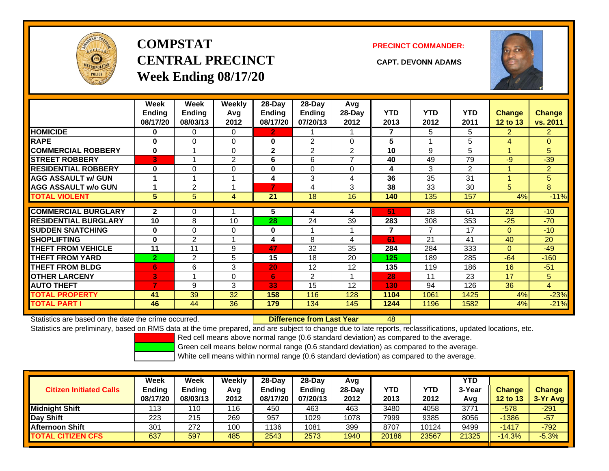

# **COMPSTATCENTRAL PRECINCT CAPT. DEVONN ADAMSWeek Ending 08/17/20**

**PRECINCT COMMANDER:**



|                             | Week<br><b>Ending</b><br>08/17/20 | Week<br><b>Ending</b><br>08/03/13 | <b>Weekly</b><br>Avg<br>2012 | $28$ -Day<br>Ending<br>08/17/20 | $28$ -Day<br><b>Ending</b><br>07/20/13 | Avg<br>28-Day<br>2012 | <b>YTD</b><br>2013 | <b>YTD</b><br>2012 | <b>YTD</b><br>2011 | <b>Change</b><br>12 to 13 | <b>Change</b><br>vs. 2011 |
|-----------------------------|-----------------------------------|-----------------------------------|------------------------------|---------------------------------|----------------------------------------|-----------------------|--------------------|--------------------|--------------------|---------------------------|---------------------------|
| <b>HOMICIDE</b>             | 0                                 | 0                                 | $\Omega$                     | 2.                              |                                        |                       | 7                  | 5                  | 5                  | $\overline{2}$            | $\overline{2}$            |
| <b>RAPE</b>                 | 0                                 | 0                                 | $\Omega$                     | 0                               | $\overline{2}$                         | 0                     | 5                  |                    | 5                  | 4                         | $\overline{0}$            |
| <b>COMMERCIAL ROBBERY</b>   | $\bf{0}$                          |                                   | $\Omega$                     | $\mathbf{2}$                    | 2                                      | $\overline{2}$        | 10                 | 9                  | 5                  | 1                         | 5.                        |
| <b>STREET ROBBERY</b>       | 3                                 |                                   | $\overline{2}$               | 6                               | 6                                      | 7                     | 40                 | 49                 | 79                 | $-9$                      | $-39$                     |
| <b>RESIDENTIAL ROBBERY</b>  | $\bf{0}$                          | 0                                 | 0                            | 0                               | $\Omega$                               | $\Omega$              | 4                  | 3                  | $\overline{2}$     | 1                         | $\overline{2}$            |
| <b>AGG ASSAULT w/ GUN</b>   |                                   |                                   |                              | 4                               | 3                                      | 4                     | 36                 | 35                 | 31                 | 1                         | 5                         |
| <b>AGG ASSAULT w/o GUN</b>  |                                   | $\overline{2}$                    |                              |                                 | 4                                      | 3                     | 38                 | 33                 | 30                 | 5                         | 8                         |
| <b>TOTAL VIOLENT</b>        | 5                                 | 5                                 | 4                            | 21                              | 18                                     | 16                    | 140                | 135                | 157                | 4%                        | $-11%$                    |
|                             |                                   |                                   |                              |                                 |                                        |                       |                    |                    |                    |                           |                           |
| <b>COMMERCIAL BURGLARY</b>  | $\mathbf{2}$                      | 0                                 |                              | 5                               | 4                                      | 4                     | 51                 | 28                 | 61                 | 23                        | $-10$                     |
| <b>RESIDENTIAL BURGLARY</b> | 10                                | 8                                 | 10                           | 28                              | 24                                     | 39                    | 283                | 308                | 353                | $-25$                     | $-70$                     |
| <b>SUDDEN SNATCHING</b>     | 0                                 | 0                                 | $\Omega$                     | 0                               |                                        |                       | 7                  | $\overline{7}$     | 17                 | $\Omega$                  | $-10$                     |
| <b>SHOPLIFTING</b>          | $\bf{0}$                          | 2                                 |                              | 4                               | 8                                      | 4                     | 61                 | 21                 | 41                 | 40                        | 20                        |
| <b>THEFT FROM VEHICLE</b>   | 11                                | 11                                | 9                            | 47                              | 32                                     | 35                    | 284                | 284                | 333                | $\Omega$                  | $-49$                     |
| <b>THEFT FROM YARD</b>      | $\overline{2}$                    | $\overline{2}$                    | 5                            | 15                              | 18                                     | 20                    | 125                | 189                | 285                | $-64$                     | $-160$                    |
| <b>THEFT FROM BLDG</b>      | 6                                 | 6                                 | 3                            | 20                              | 12                                     | 12                    | 135                | 119                | 186                | 16                        | $-51$                     |
| <b>OTHER LARCENY</b>        | 3                                 |                                   | 0                            | 6                               | $\overline{2}$                         |                       | 28                 | 11                 | 23                 | 17                        | 5                         |
| <b>AUTO THEFT</b>           | 7                                 | 9                                 | 3                            | 33                              | 15                                     | 12                    | 130                | 94                 | 126                | 36                        | 4                         |
| <b>TOTAL PROPERTY</b>       | 41                                | 39                                | 32                           | 158                             | 116                                    | 128                   | 1104               | 1061               | 1425               | 4%                        | $-23%$                    |
| <b>TOTAL PART I</b>         | 46                                | 44                                | 36                           | 179                             | 134                                    | 145                   | 1244               | 1196               | 1582               | 4%                        | $-21%$                    |

Statistics are based on the date the crime occurred. **Difference from Last Year** 

48

Statistics are preliminary, based on RMS data at the time prepared, and are subject to change due to late reports, reclassifications, updated locations, etc.

Red cell means above normal range (0.6 standard deviation) as compared to the average.

Green cell means below normal range (0.6 standard deviation) as compared to the average.

|                                | <b>Week</b>   | Week     | Weekly | $28-Dav$      | 28-Day        | Avg      |            |            | YTD    |                 |               |
|--------------------------------|---------------|----------|--------|---------------|---------------|----------|------------|------------|--------|-----------------|---------------|
| <b>Citizen Initiated Calls</b> | <b>Ending</b> | Ending   | Avg    | <b>Ending</b> | <b>Ending</b> | $28-Dav$ | <b>YTD</b> | <b>YTD</b> | 3-Year | <b>Change</b>   | <b>Change</b> |
|                                | 08/17/20      | 08/03/13 | 2012   | 08/17/20      | 07/20/13      | 2012     | 2013       | 2012       | Avg    | <b>12 to 13</b> | $3-Yr$ Avg    |
| <b>Midnight Shift</b>          | 113           | 110      | 116    | 450           | 463           | 463      | 3480       | 4058       | 3771   | $-578$          | $-291$        |
| Day Shift                      | 223           | 215      | 269    | 957           | 1029          | 1078     | 7999       | 9385       | 8056   | -1386           | $-57$         |
| <b>Afternoon Shift</b>         | 301           | 272      | 100    | 1136          | 1081          | 399      | 8707       | 10124      | 9499   | $-1417$         | $-792$        |
| <b>TOTAL CITIZEN CFS</b>       | 637           | 597      | 485    | 2543          | 2573          | 1940     | 20186      | 23567      | 21325  | $-14.3%$        | $-5.3%$       |
|                                |               |          |        |               |               |          |            |            |        |                 |               |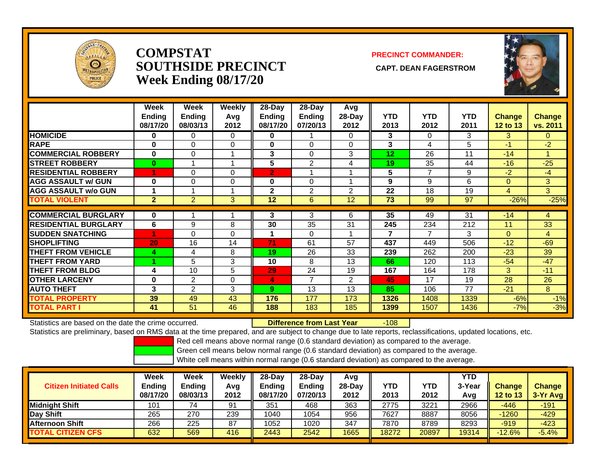

## **COMPSTATSOUTHSIDE PRECINCT CAPT. DEAN FAGERSTROMWeek Ending 08/17/20**

## **PRECINCT COMMANDER:**



|                             | Week<br><b>Ending</b><br>08/17/20 | Week<br><b>Ending</b><br>08/03/13 | Weekly<br>Avg<br>2012 | 28-Day<br><b>Ending</b><br>08/17/20 | $28-Day$<br><b>Ending</b><br>07/20/13 | Avg<br>$28-Day$<br>2012 | <b>YTD</b><br>2013 | <b>YTD</b><br>2012 | <b>YTD</b><br>2011 | <b>Change</b><br><b>12 to 13</b> | Change<br>vs. 2011 |
|-----------------------------|-----------------------------------|-----------------------------------|-----------------------|-------------------------------------|---------------------------------------|-------------------------|--------------------|--------------------|--------------------|----------------------------------|--------------------|
| <b>HOMICIDE</b>             | 0                                 | 0                                 | 0                     | 0                                   |                                       | $\Omega$                | 3                  | $\Omega$           | 3                  | 3                                | 0                  |
| <b>RAPE</b>                 | 0                                 | 0                                 | 0                     | $\bf{0}$                            | 0                                     | $\Omega$                | 3                  | 4                  | 5                  | $-1$                             | $-2$               |
| <b>COMMERCIAL ROBBERY</b>   | $\bf{0}$                          | $\Omega$                          |                       | $\mathbf{3}$                        | 0                                     | 3                       | 12                 | 26                 | 11                 | $-14$                            |                    |
| <b>STREET ROBBERY</b>       | $\bf{0}$                          |                                   |                       | 5                                   | $\overline{2}$                        | 4                       | 19                 | 35                 | 44                 | $-16$                            | $-25$              |
| <b>RESIDENTIAL ROBBERY</b>  |                                   | $\Omega$                          | $\Omega$              | $\overline{2}$                      |                                       |                         | 5                  | $\overline{ }$     | 9                  | $-2$                             | $-4$               |
| <b>AGG ASSAULT w/ GUN</b>   | $\bf{0}$                          | 0                                 | 0                     | $\bf{0}$                            | 0                                     |                         | 9                  | 9                  | 6                  | $\Omega$                         | 3                  |
| <b>AGG ASSAULT w/o GUN</b>  |                                   |                                   |                       | $\mathbf{2}$                        | $\overline{2}$                        | 2                       | 22                 | 18                 | 19                 | 4                                | 3                  |
| <b>TOTAL VIOLENT</b>        | $\overline{2}$                    | $\overline{2}$                    | 3                     | 12                                  | 6                                     | 12                      | 73                 | 99                 | 97                 | $-26%$                           | $-25%$             |
|                             |                                   |                                   |                       |                                     |                                       |                         |                    |                    |                    |                                  |                    |
| <b>COMMERCIAL BURGLARY</b>  | $\bf{0}$                          |                                   |                       | 3                                   | 3                                     | 6                       | 35                 | 49                 | 31                 | $-14$                            | 4                  |
| <b>RESIDENTIAL BURGLARY</b> | 6                                 | 9                                 | 8                     | 30                                  | 35                                    | 31                      | 245                | 234                | 212                | 11                               | 33                 |
| <b>SUDDEN SNATCHING</b>     |                                   | $\Omega$                          | $\Omega$              | 1                                   | 0                                     |                         | 7                  | 7                  | 3                  | $\overline{0}$                   | 4                  |
| <b>SHOPLIFTING</b>          | 20                                | 16                                | 14                    | 71                                  | 61                                    | 57                      | 437                | 449                | 506                | $-12$                            | $-69$              |
| <b>THEFT FROM VEHICLE</b>   | 4                                 | 4                                 | 8                     | 19                                  | 26                                    | 33                      | 239                | 262                | 200                | $-23$                            | 39                 |
| <b>THEFT FROM YARD</b>      |                                   | 5                                 | 3                     | 10                                  | 8                                     | 13                      | 66                 | 120                | 113                | $-54$                            | $-47$              |
| <b>THEFT FROM BLDG</b>      | 4                                 | 10                                | 5                     | 29                                  | 24                                    | 19                      | 167                | 164                | 178                | 3                                | $-11$              |
| <b>OTHER LARCENY</b>        | $\bf{0}$                          | 2                                 | $\Omega$              | 4                                   | $\overline{7}$                        | 2                       | 45                 | 17                 | 19                 | 28                               | 26                 |
| <b>AUTO THEFT</b>           | 3                                 | $\overline{2}$                    | 3                     | 9                                   | 13                                    | 13                      | 85                 | 106                | 77                 | $-21$                            | 8                  |
| <b>TOTAL PROPERTY</b>       | 39                                | 49                                | 43                    | 176                                 | 177                                   | 173                     | 1326               | 1408               | 1339               | $-6%$                            | $-1%$              |
| TOTAL PART I                | 41                                | 51                                | 46                    | 188                                 | 183                                   | 185                     | 1399               | 1507               | 1436               | $-7%$                            | $-3%$              |

Statistics are based on the date the crime occurred. **Difference from Last Year** 

r -108

Statistics are preliminary, based on RMS data at the time prepared, and are subject to change due to late reports, reclassifications, updated locations, etc.

Red cell means above normal range (0.6 standard deviation) as compared to the average.

Green cell means below normal range (0.6 standard deviation) as compared to the average.

| <b>Citizen Initiated Calls</b> | Week<br><b>Ending</b><br>08/17/20 | Week<br>Ending<br>08/03/13 | Weekly<br>Avg<br>2012 | $28-Day$<br><b>Ending</b><br>08/17/20 | $28 - Day$<br><b>Ending</b><br>07/20/13 | Avg<br>$28-Dav$<br>2012 | YTD<br>2013 | YTD<br>2012 | <b>YTD</b><br>3-Year<br>Avg | <b>Change</b><br><b>12 to 13</b> | <b>Change</b><br>$3-Yr$ Avg |
|--------------------------------|-----------------------------------|----------------------------|-----------------------|---------------------------------------|-----------------------------------------|-------------------------|-------------|-------------|-----------------------------|----------------------------------|-----------------------------|
| <b>Midnight Shift</b>          | 101                               | 74                         | 91                    | 351                                   | 468                                     | 363                     | 2775        | 3221        | 2966                        | $-446$                           | $-191$                      |
| Day Shift                      | 265                               | 270                        | 239                   | 1040                                  | 1054                                    | 956                     | 7627        | 8887        | 8056                        | $-1260$                          | $-429$                      |
| <b>Afternoon Shift</b>         | 266                               | 225                        | 87                    | 1052                                  | 1020                                    | 347                     | 7870        | 8789        | 8293                        | $-919$                           | $-423$                      |
| <b>TOTAL CITIZEN CFS</b>       | 632                               | 569                        | 416                   | 2443                                  | 2542                                    | 1665                    | 18272       | 20897       | 19314                       | $-12.6%$                         | $-5.4%$                     |